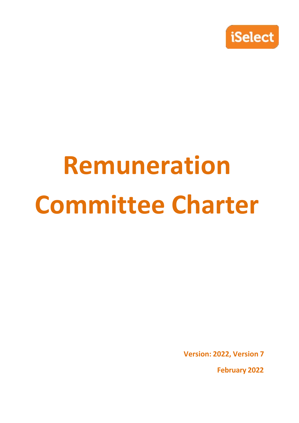

# **Remuneration Committee Charter**

**Version: 2022, Version 7**

**February 2022**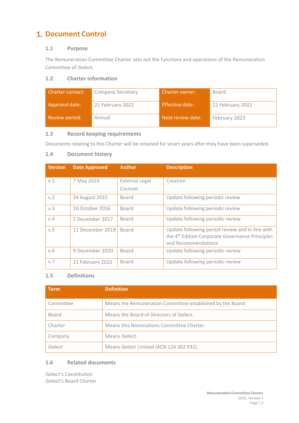# **1. Document Control**

# **1.1 Purpose**

The Remuneration Committee Charter sets out the functions and operations of the Remuneration Committee of iSelect.

# **1.2 Charter information**

| <b>Charter contact:</b> | <b>Company Secretary</b> | <b>Charter owner:</b> | Board            |
|-------------------------|--------------------------|-----------------------|------------------|
| Approval date:          | 21 February 2022         | Effective date:       | 21 February 2022 |
| Review period:          | Annual                   | Next review date:     | February 2023    |

# **1.3 Record keeping requirements**

Documents relating to this Charter will be retained for seven years after they have been superseded.

# **1.4 Document history**

| <b>Version</b> | <b>Date Approved</b> | <b>Author</b>             | <b>Description</b>                                                                                                                    |
|----------------|----------------------|---------------------------|---------------------------------------------------------------------------------------------------------------------------------------|
| V.1            | 7 May 2013           | External Legal<br>Counsel | Creation                                                                                                                              |
| V.2            | 24 August 2015       | Board                     | Update following periodic review                                                                                                      |
| v.3            | 10 October 2016      | Board                     | Update following periodic review                                                                                                      |
| V.4            | 7 December 2017      | Board                     | Update following periodic review                                                                                                      |
| v.5            | 11 December 2019     | Board                     | Update following period review and in line with<br>the 4 <sup>th</sup> Edition Corporate Governance Principles<br>and Recommendations |
| V.6            | 9 December 2020      | Board                     | Update following periodic review                                                                                                      |
| V.7            | 21 February 2022     | Board                     | Update following periodic review                                                                                                      |

# **1.5 Definitions**

| <b>Term</b> | <b>Definition</b>                                          |
|-------------|------------------------------------------------------------|
| Committee   | Means the Remuneration Committee established by the Board. |
| Board       | Means the Board of Directors of iSelect.                   |
| Charter     | Means this Nominations Committee Charter.                  |
| Company     | Means iSelect.                                             |
| iSelect     | Means iSelect Limited (ACN 124 302 932).                   |

# **1.6 Related documents**

iSelect's Constitution iSelect's Board Charter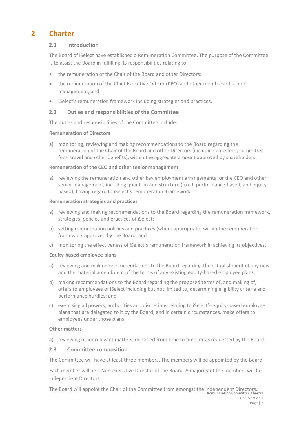# **2 Charter**

#### **2.1 Introduction**

The Board of iSelect have established a Remuneration Committee. The purpose of the Committee is to assist the Board in fulfilling its responsibilities relating to:

- the remuneration of the Chair of the Board and other Directors:
- the remuneration of the Chief Executive Officer (**CEO**) and other members of senior management; and
- iSelect's remuneration framework including strategies and practices.

## **2.2 Duties and responsibilities of the Committee**

The duties and responsibilities of the Committee include:

#### **Remuneration of Directors**

a) monitoring, reviewing and making recommendations to the Board regarding the remuneration of the Chair of the Board and other Directors (including base fees, committee fees, travel and other benefits), within the aggregate amount approved by shareholders.

#### **Remuneration of the CEO and other senior management**

a) reviewing the remuneration and other key employment arrangements for the CEO and other senior management, including quantum and structure (fixed, performance-based, and equitybased), having regard to iSelect's remuneration framework.

#### **Remuneration strategies and practices**

- a) reviewing and making recommendations to the Board regarding the remuneration framework, strategies, policies and practices of iSelect;
- b) setting remuneration policies and practices (where appropriate) within the remuneration framework approved by the Board; and
- c) monitoring the effectiveness of iSelect's remuneration framework in achieving its objectives.

#### **Equity‐based employee plans**

- a) reviewing and making recommendations to the Board regarding the establishment of any new and the material amendment of the terms of any existing equity-based employee plans;
- b) making recommendations to the Board regarding the proposed terms of, and making of, offers to employees of iSelect including but not limited to, determining eligibility criteria and performance hurdles; and
- c) exercising all powers, authorities and discretions relating to iSelect's equity‐based employee plans that are delegated to it by the Board, and in certain circumstances, make offers to employees under those plans.

#### **Other matters**

a) reviewing other relevant matters identified from time to time, or as requested by the Board.

#### **2.3 Committee composition**

The Committee will have at least three members. The members will be appointed by the Board.

Each member will be a Non‐executive Director of the Board. A majority of the members will be independent Directors.

**Remuneration Committee Charter** 2022, Version 7 Page | 3 The Board will appoint the Chair of the Committee from amongst the independent Directors.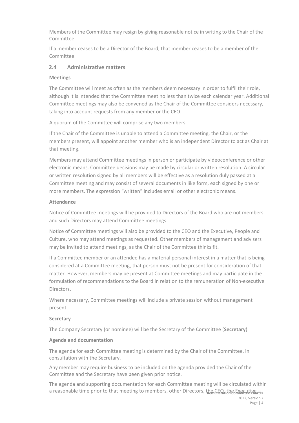Members of the Committee may resign by giving reasonable notice in writing to the Chair of the Committee.

If a member ceases to be a Director of the Board, that member ceases to be a member of the Committee.

## **2.4 Administrative matters**

#### **Meetings**

The Committee will meet as often as the members deem necessary in order to fulfil their role, although it is intended that the Committee meet no less than twice each calendar year. Additional Committee meetings may also be convened as the Chair of the Committee considers necessary, taking into account requests from any member or the CEO.

A quorum of the Committee will comprise any two members.

If the Chair of the Committee is unable to attend a Committee meeting, the Chair, or the members present, will appoint another member who is an independent Director to act as Chair at that meeting.

Members may attend Committee meetings in person or participate by videoconference or other electronic means. Committee decisions may be made by circular or written resolution. A circular or written resolution signed by all members will be effective as a resolution duly passed at a Committee meeting and may consist of several documents in like form, each signed by one or more members. The expression "written" includes email or other electronic means.

#### **Attendance**

Notice of Committee meetings will be provided to Directors of the Board who are not members and such Directors may attend Committee meetings.

Notice of Committee meetings will also be provided to the CEO and the Executive, People and Culture, who may attend meetings as requested. Other members of management and advisers may be invited to attend meetings, as the Chair of the Committee thinks fit.

If a Committee member or an attendee has a material personal interest in a matter that is being considered at a Committee meeting, that person must not be present for consideration of that matter. However, members may be present at Committee meetings and may participate in the formulation of recommendations to the Board in relation to the remuneration of Non‐executive Directors.

Where necessary, Committee meetings will include a private session without management present.

#### **Secretary**

The Company Secretary (or nominee) will be the Secretary of the Committee (**Secretary**).

#### **Agenda and documentation**

The agenda for each Committee meeting is determined by the Chair of the Committee, in consultation with the Secretary.

Any member may require business to be included on the agenda provided the Chair of the Committee and the Secretary have been given prior notice.

a reasonable time prior to that meeting to members, other Directors, the CEO, the Executive – The agenda and supporting documentation for each Committee meeting will be circulated within